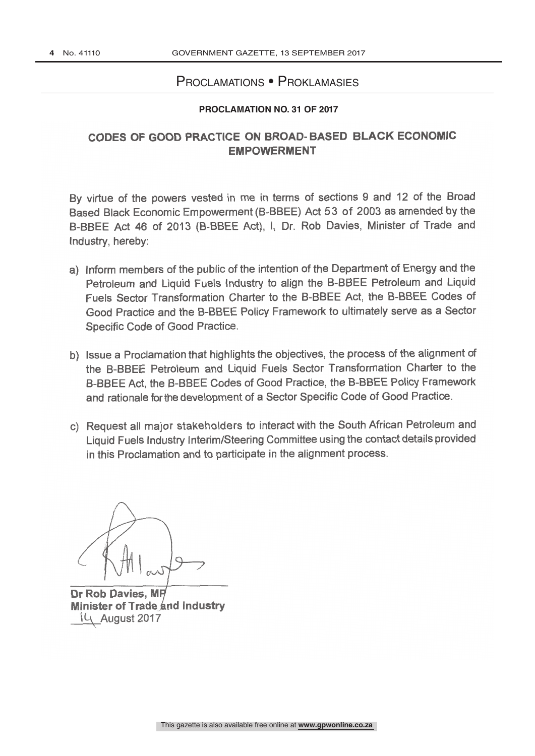### Proclamations • Proklamasies

#### **PROCLAMATION NO. 31 OF 2017**

# CODES OF GOOD PRACTICE ON BROAD- BASED BLACK ECONOMIC EMPOWERMENT

By virtue of the powers vested in me in terms of sections 9 and 12 of the Broad Based Black Economic Empowerment (B -BBEE) Act 53 of 2003 as amended by the B-BBEE Act 46 of 2013 (B-BBEE Act), I, Dr. Rob Davies, Minister of Trade and Industry, hereby:

- a) Inform members of the public of the intention of the Department of Energy and the Petroleum and Liquid Fuels Industry to align the B-BBEE Petroleum and Liquid Fuels Sector Transformation Charter to the B-BBEE Act, the B-BBEE Codes of Good Practice and the B -BBEE Policy Framework to ultimately serve as a Sector Specific Code of Good Practice.
- b) Issue a Proclamation that highlights the objectives, the process of the alignment of the B-BBEE Petroleum and Liquid Fuels Sector Transformation Charter to the B -BBEE Act, the B -BBEE Codes of Good Practice, the B -BBEE Policy Framework and rationale for the development of a Sector Specific Code of Good Practice.
- c) Request all major stakeholders to interact with the South African Petroleum and Liquid Fuels Industry Interim /Steering Committee using the contact details provided in this Proclamation and to participate in the alignment process.

Dr Rob Davies, M Minister of Trade and Industry IL\ August 2017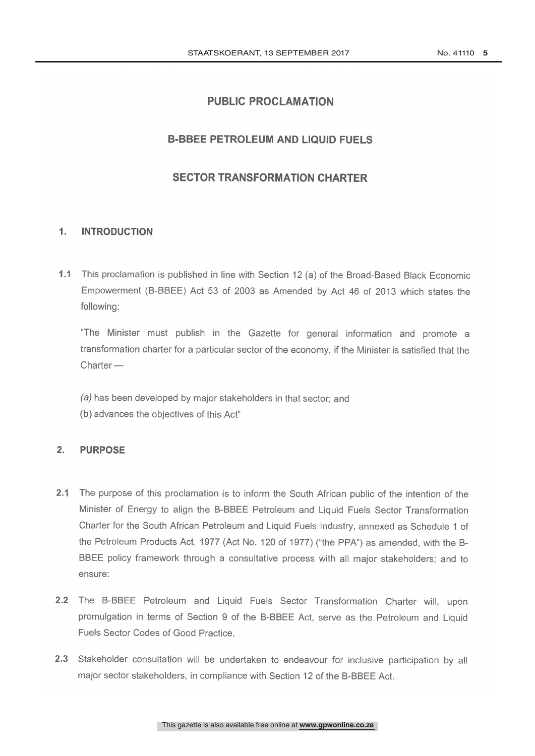### **PUBLIC PROCLAMATION**

#### **B-BBEE PETROLEUM AND LIQUID FUELS**

# **SECTOR TRANSFORMATION CHARTER**

#### $\mathbf{1}$ . **INTRODUCTION**

1.1 This proclamation is published in line with Section 12 (a) of the Broad-Based Black Economic Empowerment (B-BBEE) Act 53 of 2003 as Amended by Act 46 of 2013 which states the following:

"The Minister must publish in the Gazette for general information and promote a transformation charter for a particular sector of the economy, if the Minister is satisfied that the  $<sub>Chapter</sub>$ </sub>

(a) has been developed by major stakeholders in that sector; and

(b) advances the objectives of this Act"

#### $2.$ **PURPOSE**

- 2.1 The purpose of this proclamation is to inform the South African public of the intention of the Minister of Energy to align the B-BBEE Petroleum and Liquid Fuels Sector Transformation Charter for the South African Petroleum and Liquid Fuels Industry, annexed as Schedule 1 of the Petroleum Products Act, 1977 (Act No. 120 of 1977) ("the PPA") as amended, with the B-BBEE policy framework through a consultative process with all major stakeholders; and to ensure:
- 2.2 The B-BBEE Petroleum and Liquid Fuels Sector Transformation Charter will, upon promulgation in terms of Section 9 of the B-BBEE Act, serve as the Petroleum and Liquid Fuels Sector Codes of Good Practice.
- 2.3 Stakeholder consultation will be undertaken to endeavour for inclusive participation by all major sector stakeholders, in compliance with Section 12 of the B-BBEE Act.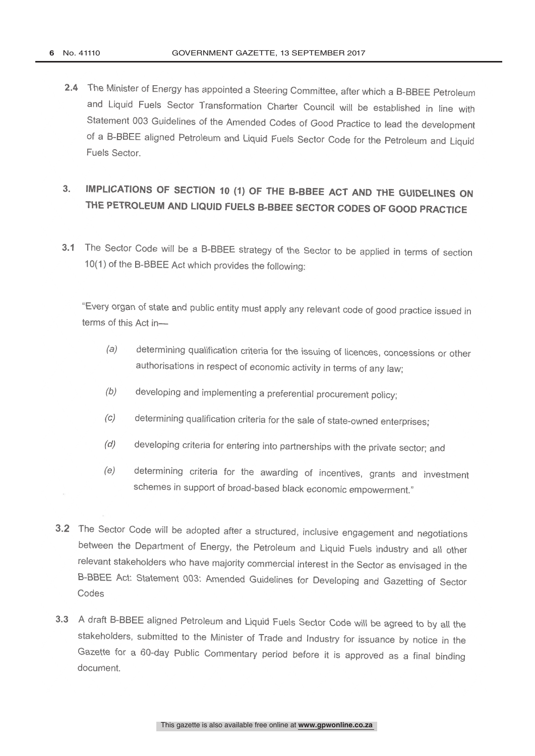2.4 The Minister of Energy has appointed a Steering Committee, after which a B-BBEE Petroleum and Liquid Fuels Sector Transformation Charter Council will be established in line with Statement 003 Guidelines of the Amended Codes of Good Practice to lead the development of a B-BBEE aligned Petroleum and Liquid Fuels Sector Code for the Petroleum and Liquid<br>Fuels Sector.

# 3. IMPLICATIONS OF SECTION 10 (1) OF THE B -BBEE ACT AND THE GUIDELINES ON THE PETROLEUM AND LIQUID FUELS B-BBEE SECTOR CODES OF GOOD PRACTICE

3.1 The Sector Code will be a B-BBEE strategy of the Sector to be applied in terms of section 10(1) of the B-BBEE Act which provides the following:

"Every organ of state and public entity must apply any relevant code of good practice issued in terms of this Act in-

- (a) determining qualification criteria for the issuing of licences, concessions or other authorisations in respect of economic activity in terms of any law;
- (b) developing and implementing a preferential procurement policy;
- determining qualification criteria for the sale of state-owned enterprises;  $(c)$
- developing criteria for entering into partnerships with the private sector; and  $(d)$
- (e) determining criteria for the awarding of incentives, grants and investment schemes in support of broad-based black economic empowerment."
- 3.2 The Sector Code will be adopted after a structured, inclusive engagement and negotiations between the Department of Energy, the Petroleum and Liquid Fuels industry and all other relevant stakeholders who have majority commercial interest in the Sector as envisaged in the B -BBEE Act: Statement 003: Amended Guidelines for Developing and Gazetting of Sector Codes
- 3.3 A draft B-BBEE aligned Petroleum and Liquid Fuels Sector Code will be agreed to by all the stakeholders, submitted to the Minister of Trade and Industry for issuance by notice in the Gazette for a 60-day Public Commentary period before it is approved as a final binding document.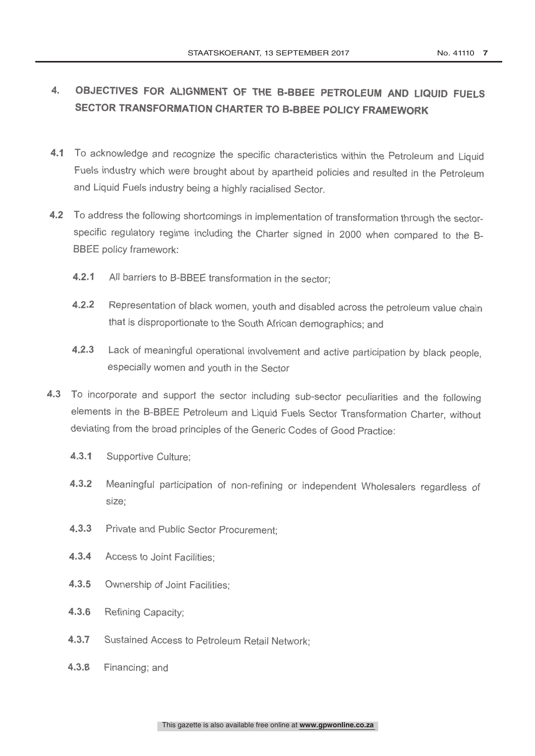# 4. OBJECTIVES FOR ALIGNMENT OF THE B-BBEE PETROLEUM AND LIQUID FUELS SECTOR TRANSFORMATION CHARTER TO B-BBEE POLICY FRAMEWORK

- 4.1 To acknowledge and recognize the specific characteristics within the Petroleum and Liquid Fuels industry which were brought about by apartheid policies and resulted in the Petroleum and Liquid Fuels industry being a highly racialised Sector
- 4.2 To address the following shortcomings in implementation of transformation through the sector-<br>specific regulatory regime including the Charter signed in 2000 when compared to the B-BBEE policy framework:
	- 4.2.1 All barriers to B-BBEE transformation in the sector;
	- 4.2.2 Representation of black women, youth and disabled across the petroleum value chain that is disproportionate to the South African demographics; and
	- 4.2.3 Lack of meaningful operational involvement and active participation by black people, especially women and youth in the Sector
- 4.3 To incorporate and support the sector including sub-sector peculiarities and the following elements in the B-BBEE Petroleum and Liquid Fuels Sector Transformation Charter, without deviating from the broad principles of the Generic Codes of Good Practice:
	- 4.3.1 Supportive Culture;
	- 4.3.2 Meaningful participation of non-refining or independent Wholesalers regardless of size:
	- 4.3.3 Private and Public Sector Procurement;
	- 4.3.4 Access to Joint Facilities:
	- 4.3.5 Ownership of Joint Facilities:
	- 4.3.6 Refining Capacity;
	- 4.3.7 Sustained Access to Petroleum Retail Network,
	- 4.3.8 Financing; and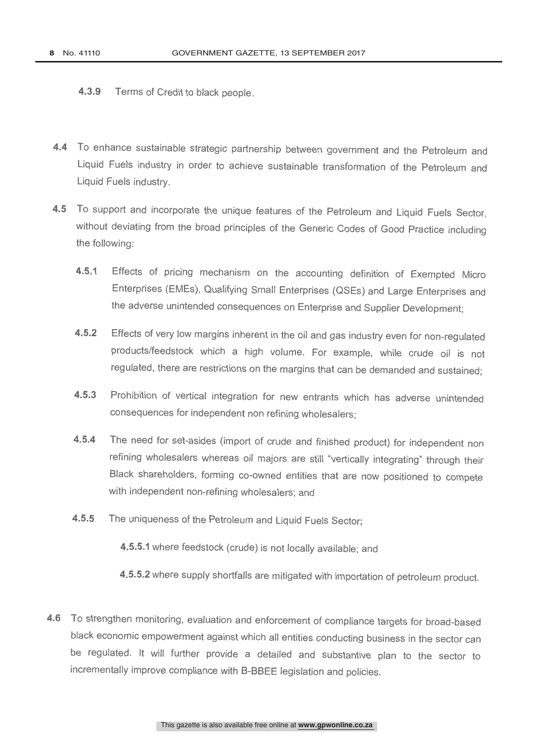4.3.9 Terms of Credit to black people.

- 4.4 To enhance sustainable strategic partnership between government and the Petroleum and Liquid Fuels industry in order to achieve sustainable transformation of the Petroleum and Liquid Fuels industry.
- 4.5 To support and incorporate the unique features of the Petroleum and Liquid Fuels Sector, without deviating from the broad principles of the Generic Codes of Good Practice including the following:
	- 4.5.1 Effects of pricing mechanism on the accounting definition of Exempted Micro Enterprises (EMEs), Qualifying Small Enterprises (QSEs) and Large Enterprises and the adverse unintended consequences on Enterprise and Supplier Development;
	- 4.5.2 Effects of very low margins inherent in the oil and gas industry even for non-regulated products /feedstock which a high volume. For example, while crude oil is not regulated, there are restrictions on the margins that can be demanded and sustained;
	- 4.5.3 Prohibition of vertical integration for new entrants which has adverse unintended consequences for independent non refining wholesalers;
	- 4.5.4 The need for set-asides (import of crude and finished product) for independent non refining wholesalers whereas oil majors are still "vertically integrating" through their Black shareholders, forming co -owned entities that are now positioned to compete with independent non-refining wholesalers; and
	- 4.5.5 The uniqueness of the Petroleum and Liquid Fuels Sector;
		- 4.5.5.1 where feedstock (crude) is not locally available; and
		- 4.5.5.2 where supply shortfalls are mitigated with importation of petroleum product.
- 4.6 To strengthen monitoring, evaluation and enforcement of compliance targets for broad-based black economic empowerment against which all entities conducting business in the sector can be regulated. It will further provide a detailed and substantive plan to the sector to incrementally improve compliance with B -BBEE legislation and policies.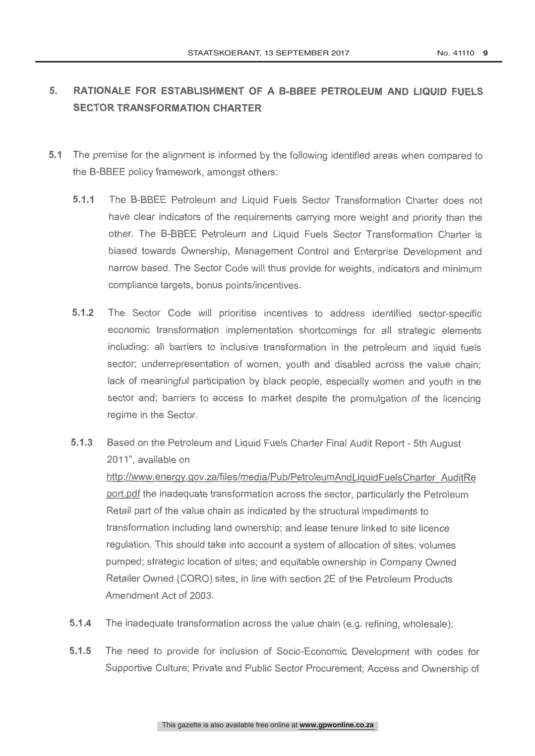# 5. RATIONALE FOR ESTABLISHMENT OF A B-BBEE PETROLEUM AND LIQUID FUELS SECTOR TRANSFORMATION CHARTER

- 5.1 The premise for the alignment is informed by the following identified areas when compared to the B-BBEE policy framework, amongst others:
	- 5.1.1 The B-BBEE Petroleum and Liquid Fuels Sector Transformation Charter does not have clear indicators of the requirements carrying more weight and priority than the other. The B-BBEE Petroleum and Liquid Fuels Sector Transformation Charter is biased towards Ownership, Management Control and Enterprise Development and narrow based. The Sector Code will thus provide for weights, indicators and minimum compliance targets, bonus points/incentives.
	- 5.1.2 The Sector Code will prioritise incentives to address identified sector-specific economic transformation implementation shortcomings for all strategic elements including: all barriers to inclusive transformation in the petroleum and liquid fuels sector; underrepresentation of women, youth and disabled across the value chain; lack of meaningful participation by black people, especially women and youth in the sector and; barriers to access to market despite the promulgation of the licencing regime in the Sector.
	- 5.1.3 Based on the Petroleum and Liquid Fuels Charter Final Audit Report 5th August 2011", available on

http://www.energy.gov.za/files/media/Pub/PetroleumAndLiquidFuelsCharter AuditRe port.pdf the inadequate transformation across the sector, particularly the Petroleum Retail part of the value chain as indicated by the structural impediments to transformation including land ownership; and lease tenure linked to site licence regulation. This should take into account a system of allocation of sites; volumes pumped; strategic location of sites; and equitable ownership in Company Owned Retailer Owned (CORO) sites, in line with section 2E of the Petroleum Products Amendment Act of 2003.

- 5.1.4 The inadequate transformation across the value chain (e.g. refining, wholesale);
- 5.1.5 The need to provide for inclusion of Socio-Economic Development with codes for Supportive Culture; Private and Public Sector Procurement; Access and Ownership of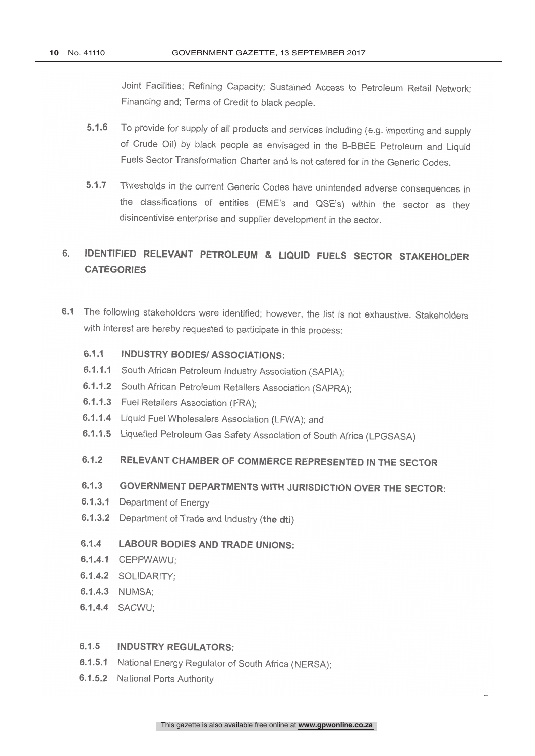Joint Facilities; Refining Capacity; Sustained Access to Petroleum Retail Network; Financing and; Terms of Credit to black people.

- 5.1.6 To provide for supply of all products and services including (e.g. importing and supply of Crude Oil) by black people as envisaged in the B-BBEE Petroleum and Liquid Fuels Sector Transformation Charter and is not catered for in the Generic Codes.
- 5.1.7 Thresholds in the current Generic Codes have unintended adverse consequences in the classifications of entities (EME's and QSE's) within the sector as they disincentivise enterprise and supplier development in the sector.

# 6. IDENTIFIED RELEVANT PETROLEUM & LIQUID FUELS SECTOR STAKEHOLDER **CATEGORIES**

6.1 The following stakeholders were identified; however, the list is not exhaustive. Stakeholders with interest are hereby requested to participate in this process:

#### 6.1.1 INDUSTRY BODIES/ ASSOCIATIONS:

- 6.1.1.1 South African Petroleum Industry Association (SAPIA);
- 6.1.1.2 South African Petroleum Retailers Association (SAPRA);
- 6.1.1.3 Fuel Retailers Association (FRA);
- 6.1.1.4 Liquid Fuel Wholesalers Association (LFWA); and
- 6.1.1.5 Liquefied Petroleum Gas Safety Association of South Africa (LPGSASA)

# 6.1.2 RELEVANT CHAMBER OF COMMERCE REPRESENTED IN THE SECTOR

# 6.1.3 GOVERNMENT DEPARTMENTS WITH JURISDICTION OVER THE SECTOR:

- 6.1.3.1 Department of Energy
- 6.1.3.2 Department of Trade and Industry (the dti)

#### 6.1.4 LABOUR BODIES AND TRADE UNIONS:

- 6.1.4.1 CEPPWAWU;
- 6.1.4.2 SOLIDARITY.
- 6.1.4.3 NUMSA;
- 6.1.4.4 SACWU;

#### 6.1.5 INDUSTRY REGULATORS:

- 6.1.5.1 National Energy Regulator of South Africa (NERSA);
- 6.1.5.2 National Ports Authority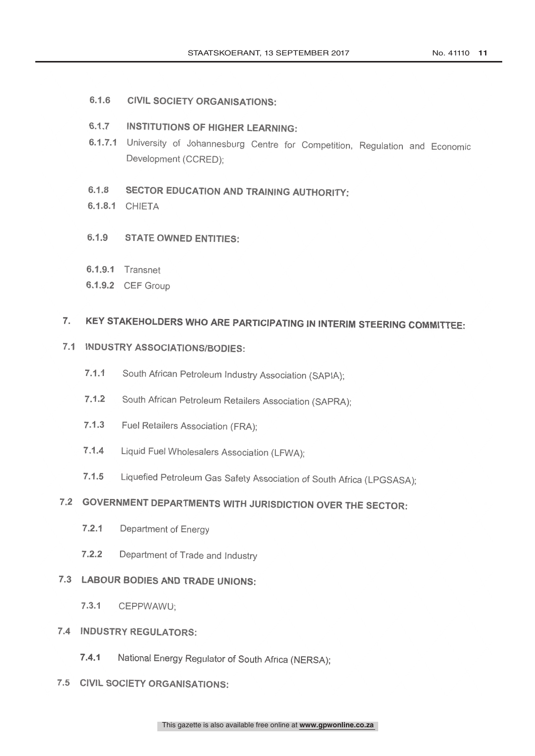6.1.6 CIVIL SOCIETY ORGANISATIONS.

# 6.1.7 INSTITUTIONS OF HIGHER LEARNING:

6.1.7.1 University of Johannesburg Centre for Competition, Regulation and Economic Development (CCRED);

# 6.1.8 SECTOR EDUCATION AND TRAINING AUTHORITY

6.1.8.1 CHIETA

#### $6.1.9$ **STATE OWNED ENTITIES:**

- 6.1.9.1 Transnet
- 6.1.9.2 CEF Group

#### KEY STAKEHOLDERS WHO ARE PARTICIPATING IN INTERIM STEERING COMMITTEE:  $7.$

# 7.1 INDUSTRY ASSOCIATIONS/BODIES:

- 7.1.1 South African Petroleum Industry Association (SAPIA);
- 7.1.2 South African Petroleum Retailers Association (SAPRA);
- 7.1.3 Fuel Retailers Association (FRA);
- 7.1.4 Liquid Fuel Wholesalers Association (LFWA);
- 7.1.5 Liquefied Petroleum Gas Safety Association of South Africa (LPGSASA);

# 7.2 GOVERNMENT DEPARTMENTS WITH JURISDICTION OVER THE SECTOR:

- 7.2.1 Department of Energy
- 7.2.2 Department of Trade and Industry

### 7.3 LABOUR BODIES AND TRADE UNIONS:

7.3.1 CEPPWAWU;

### 7.4 INDUSTRY REGULATORS:

National Energy Regulator of South Africa (NERSA);  $7.4.1$ 

### 7.5 CIVIL SOCIETY ORGANISATIONS: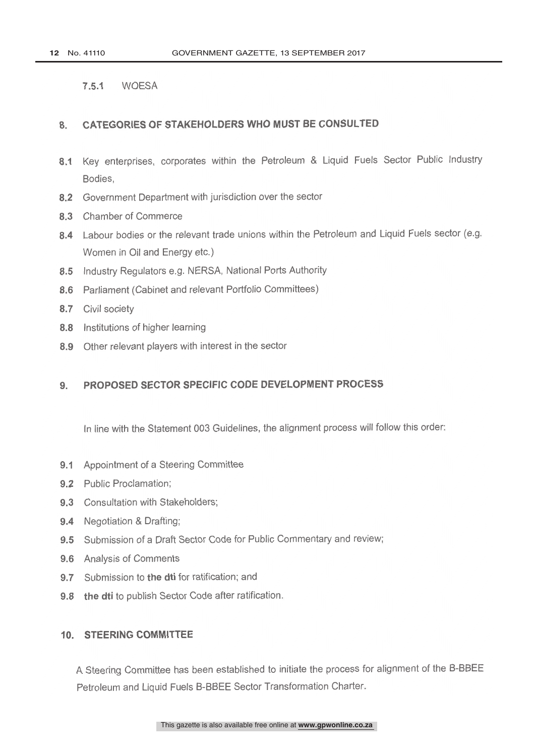7.5.1 WOESA

#### 8. CATEGORIES OF STAKEHOLDERS WHO MUST BE CONSULTED

- 8.1 Key enterprises, corporates within the Petroleum & Liquid Fuels Sector Public Industry Bodies,
- 8.2 Government Department with jurisdiction over the sector
- 8.3 Chamber of Commerce
- 8.4 Labour bodies or the relevant trade unions within the Petroleum and Liquid Fuels sector (e.g. Women in Oil and Energy etc.)
- 8.5 Industry Regulators e.g. NERSA, National Ports Authority
- 8.6 Parliament (Cabinet and relevant Portfolio Committees)
- 8.7 Civil society
- 8.8 Institutions of higher learning
- 8.9 Other relevant players with interest in the sector

# 9. PROPOSED SECTOR SPECIFIC CODE DEVELOPMENT PROCESS

In line with the Statement 003 Guidelines, the alignment process will follow this order;

- 9.1 Appointment of a Steering Committee
- 9.2 Public Proclamation:
- 9.3 Consultation with Stakeholders;
- 9.4 Negotiation & Drafting;
- 9.5 Submission of a Draft Sector Code for Public Commentary and review;
- 9.6 Analysis of Comments
- 9.7 Submission to the dti for ratification; and
- 9.8 the dti to publish Sector Code after ratification.

#### 10. STEERING COMMITTEE

A Steering Committee has been established to initiate the process for alignment of the B-BBEE Petroleum and Liquid Fuels B-BBEE Sector Transformation Charter.